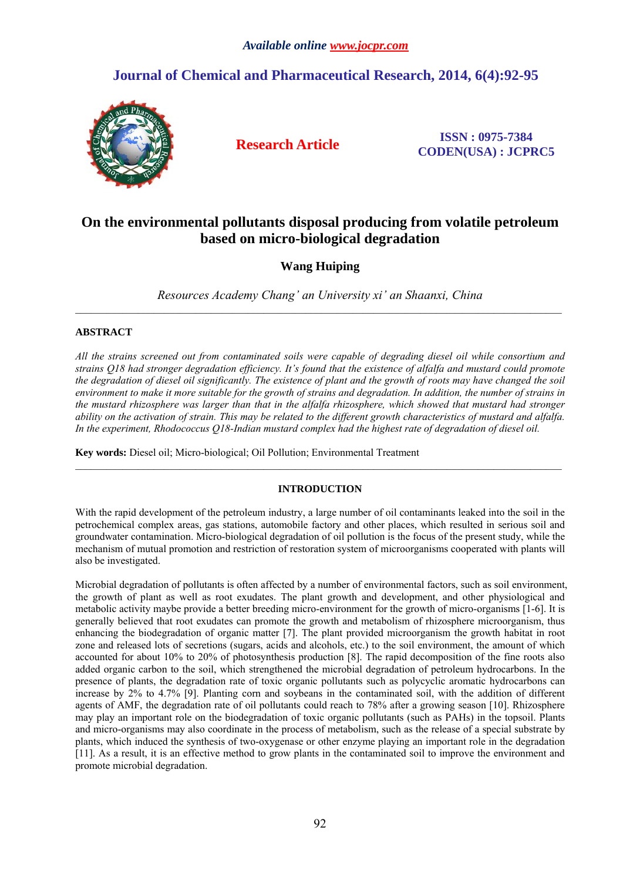# **Journal of Chemical and Pharmaceutical Research, 2014, 6(4):92-95**



**Research Article ISSN : 0975-7384 CODEN(USA) : JCPRC5**

## **On the environmental pollutants disposal producing from volatile petroleum based on micro-biological degradation**

## **Wang Huiping**

*Resources Academy Chang' an University xi' an Shaanxi, China*  $\mathcal{L}_\mathcal{L} = \mathcal{L}_\mathcal{L}$ 

## **ABSTRACT**

*All the strains screened out from contaminated soils were capable of degrading diesel oil while consortium and strains Q18 had stronger degradation efficiency. It's found that the existence of alfalfa and mustard could promote the degradation of diesel oil significantly. The existence of plant and the growth of roots may have changed the soil environment to make it more suitable for the growth of strains and degradation. In addition, the number of strains in the mustard rhizosphere was larger than that in the alfalfa rhizosphere, which showed that mustard had stronger ability on the activation of strain. This may be related to the different growth characteristics of mustard and alfalfa. In the experiment, Rhodococcus Q18-Indian mustard complex had the highest rate of degradation of diesel oil.* 

**Key words:** Diesel oil; Micro-biological; Oil Pollution; Environmental Treatment

## **INTRODUCTION**

With the rapid development of the petroleum industry, a large number of oil contaminants leaked into the soil in the petrochemical complex areas, gas stations, automobile factory and other places, which resulted in serious soil and groundwater contamination. Micro-biological degradation of oil pollution is the focus of the present study, while the mechanism of mutual promotion and restriction of restoration system of microorganisms cooperated with plants will also be investigated.

Microbial degradation of pollutants is often affected by a number of environmental factors, such as soil environment, the growth of plant as well as root exudates. The plant growth and development, and other physiological and metabolic activity maybe provide a better breeding micro-environment for the growth of micro-organisms [1-6]. It is generally believed that root exudates can promote the growth and metabolism of rhizosphere microorganism, thus enhancing the biodegradation of organic matter [7]. The plant provided microorganism the growth habitat in root zone and released lots of secretions (sugars, acids and alcohols, etc.) to the soil environment, the amount of which accounted for about 10% to 20% of photosynthesis production [8]. The rapid decomposition of the fine roots also added organic carbon to the soil, which strengthened the microbial degradation of petroleum hydrocarbons. In the presence of plants, the degradation rate of toxic organic pollutants such as polycyclic aromatic hydrocarbons can increase by 2% to 4.7% [9]. Planting corn and soybeans in the contaminated soil, with the addition of different agents of AMF, the degradation rate of oil pollutants could reach to 78% after a growing season [10]. Rhizosphere may play an important role on the biodegradation of toxic organic pollutants (such as PAHs) in the topsoil. Plants and micro-organisms may also coordinate in the process of metabolism, such as the release of a special substrate by plants, which induced the synthesis of two-oxygenase or other enzyme playing an important role in the degradation [11]. As a result, it is an effective method to grow plants in the contaminated soil to improve the environment and promote microbial degradation.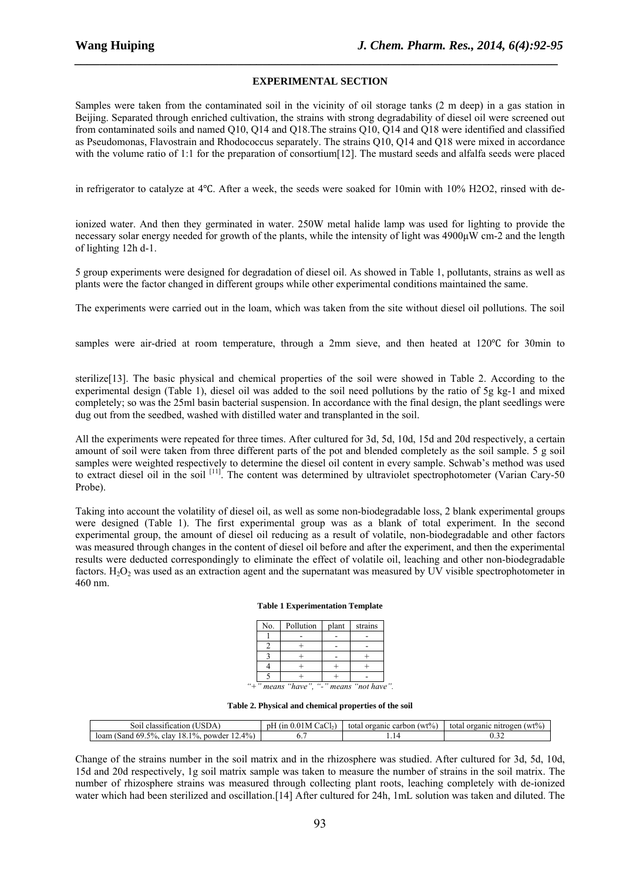### **EXPERIMENTAL SECTION**

*\_\_\_\_\_\_\_\_\_\_\_\_\_\_\_\_\_\_\_\_\_\_\_\_\_\_\_\_\_\_\_\_\_\_\_\_\_\_\_\_\_\_\_\_\_\_\_\_\_\_\_\_\_\_\_\_\_\_\_\_\_\_\_\_\_\_\_\_\_\_\_\_\_\_\_\_\_*

Samples were taken from the contaminated soil in the vicinity of oil storage tanks (2 m deep) in a gas station in Beijing. Separated through enriched cultivation, the strains with strong degradability of diesel oil were screened out from contaminated soils and named Q10, Q14 and Q18.The strains Q10, Q14 and Q18 were identified and classified as Pseudomonas, Flavostrain and Rhodococcus separately. The strains Q10, Q14 and Q18 were mixed in accordance with the volume ratio of 1:1 for the preparation of consortium [12]. The mustard seeds and alfalfa seeds were placed

in refrigerator to catalyze at 4<sup>o</sup>C. After a week, the seeds were soaked for 10min with 10% H2O2, rinsed with de-

ionized water. And then they germinated in water. 250W metal halide lamp was used for lighting to provide the necessary solar energy needed for growth of the plants, while the intensity of light was 4900μW cm-2 and the length of lighting 12h d-1.

5 group experiments were designed for degradation of diesel oil. As showed in Table 1, pollutants, strains as well as plants were the factor changed in different groups while other experimental conditions maintained the same.

The experiments were carried out in the loam, which was taken from the site without diesel oil pollutions. The soil

samples were air-dried at room temperature, through a 2mm sieve, and then heated at 120 °C for 30min to

sterilize[13]. The basic physical and chemical properties of the soil were showed in Table 2. According to the experimental design (Table 1), diesel oil was added to the soil need pollutions by the ratio of 5g kg-1 and mixed completely; so was the 25ml basin bacterial suspension. In accordance with the final design, the plant seedlings were dug out from the seedbed, washed with distilled water and transplanted in the soil.

All the experiments were repeated for three times. After cultured for 3d, 5d, 10d, 15d and 20d respectively, a certain amount of soil were taken from three different parts of the pot and blended completely as the soil sample. 5 g soil samples were weighted respectively to determine the diesel oil content in every sample. Schwab's method was used to extract diesel oil in the soil <sup>[11]</sup>. The content was determined by ultraviolet spectrophotometer (Varian Cary-50) Probe).

Taking into account the volatility of diesel oil, as well as some non-biodegradable loss, 2 blank experimental groups were designed (Table 1). The first experimental group was as a blank of total experiment. In the second experimental group, the amount of diesel oil reducing as a result of volatile, non-biodegradable and other factors was measured through changes in the content of diesel oil before and after the experiment, and then the experimental results were deducted correspondingly to eliminate the effect of volatile oil, leaching and other non-biodegradable factors.  $H_2O_2$  was used as an extraction agent and the supernatant was measured by UV visible spectrophotometer in 460 nm.

#### **Table 1 Experimentation Template**

| No. | Pollution                               | plant | strains |  |
|-----|-----------------------------------------|-------|---------|--|
|     |                                         |       |         |  |
|     |                                         |       |         |  |
|     |                                         |       |         |  |
|     |                                         |       |         |  |
|     |                                         |       |         |  |
|     | "+" means "have", "-" means "not have". |       |         |  |

**Table 2. Physical and chemical properties of the soil** 

| S01.<br>classification<br>SDA                                          | $\sim$<br>(11)<br>CaChY<br>nF<br>M | $(wt\%)$<br>organic<br>carbon<br>total | (wt%<br>total<br>organic<br>nıtı<br>rogen |
|------------------------------------------------------------------------|------------------------------------|----------------------------------------|-------------------------------------------|
| 4%<br>10/6.<br>$5\%$<br>18.1<br>-69.<br>clay<br>loam<br>powder<br>Sand |                                    | .                                      | ∪.∠∠                                      |

Change of the strains number in the soil matrix and in the rhizosphere was studied. After cultured for 3d, 5d, 10d, 15d and 20d respectively, 1g soil matrix sample was taken to measure the number of strains in the soil matrix. The number of rhizosphere strains was measured through collecting plant roots, leaching completely with de-ionized water which had been sterilized and oscillation.<sup>[14]</sup> After cultured for 24h, 1mL solution was taken and diluted. The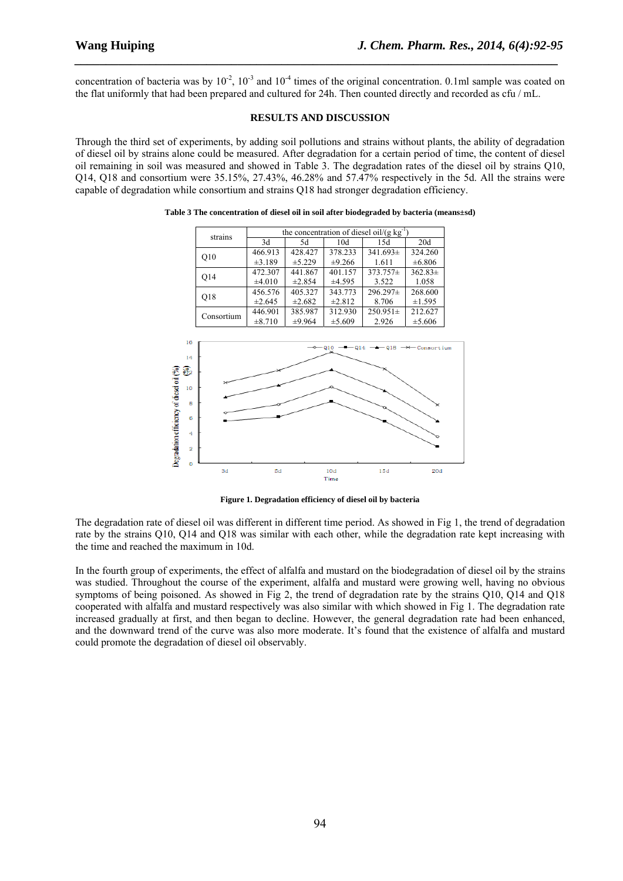concentration of bacteria was by  $10^{-2}$ ,  $10^{-3}$  and  $10^{-4}$  times of the original concentration. 0.1ml sample was coated on the flat uniformly that had been prepared and cultured for 24h. Then counted directly and recorded as cfu / mL.

*\_\_\_\_\_\_\_\_\_\_\_\_\_\_\_\_\_\_\_\_\_\_\_\_\_\_\_\_\_\_\_\_\_\_\_\_\_\_\_\_\_\_\_\_\_\_\_\_\_\_\_\_\_\_\_\_\_\_\_\_\_\_\_\_\_\_\_\_\_\_\_\_\_\_\_\_\_*

#### **RESULTS AND DISCUSSION**

Through the third set of experiments, by adding soil pollutions and strains without plants, the ability of degradation of diesel oil by strains alone could be measured. After degradation for a certain period of time, the content of diesel oil remaining in soil was measured and showed in Table 3. The degradation rates of the diesel oil by strains Q10, Q14, Q18 and consortium were 35.15%, 27.43%, 46.28% and 57.47% respectively in the 5d. All the strains were capable of degradation while consortium and strains Q18 had stronger degradation efficiency.



**Table 3 The concentration of diesel oil in soil after biodegraded by bacteria (means±sd)** 

**Figure 1. Degradation efficiency of diesel oil by bacteria** 

The degradation rate of diesel oil was different in different time period. As showed in Fig 1, the trend of degradation rate by the strains Q10, Q14 and Q18 was similar with each other, while the degradation rate kept increasing with the time and reached the maximum in 10d.

In the fourth group of experiments, the effect of alfalfa and mustard on the biodegradation of diesel oil by the strains was studied. Throughout the course of the experiment, alfalfa and mustard were growing well, having no obvious symptoms of being poisoned. As showed in Fig 2, the trend of degradation rate by the strains Q10, Q14 and Q18 cooperated with alfalfa and mustard respectively was also similar with which showed in Fig 1. The degradation rate increased gradually at first, and then began to decline. However, the general degradation rate had been enhanced, and the downward trend of the curve was also more moderate. It's found that the existence of alfalfa and mustard could promote the degradation of diesel oil observably.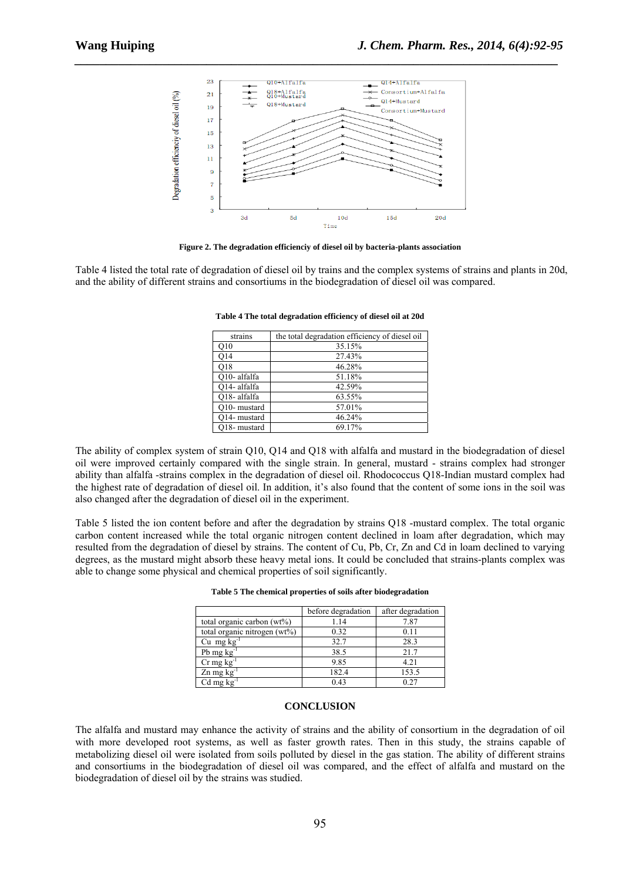

*\_\_\_\_\_\_\_\_\_\_\_\_\_\_\_\_\_\_\_\_\_\_\_\_\_\_\_\_\_\_\_\_\_\_\_\_\_\_\_\_\_\_\_\_\_\_\_\_\_\_\_\_\_\_\_\_\_\_\_\_\_\_\_\_\_\_\_\_\_\_\_\_\_\_\_\_\_*

**Figure 2. The degradation efficienciy of diesel oil by bacteria-plants association** 

Table 4 listed the total rate of degradation of diesel oil by trains and the complex systems of strains and plants in 20d, and the ability of different strains and consortiums in the biodegradation of diesel oil was compared.

| strains      | the total degradation efficiency of diesel oil |
|--------------|------------------------------------------------|
| O10          | 35.15%                                         |
| 014          | 27.43%                                         |
| O18          | 46.28%                                         |
| O10- alfalfa | 51.18%                                         |
| O14- alfalfa | 42.59%                                         |
| O18-alfalfa  | 63.55%                                         |
| O10- mustard | 57.01%                                         |
| O14- mustard | 46.24%                                         |
| Q18- mustard | 69.17%                                         |

**Table 4 The total degradation efficiency of diesel oil at 20d** 

The ability of complex system of strain Q10, Q14 and Q18 with alfalfa and mustard in the biodegradation of diesel oil were improved certainly compared with the single strain. In general, mustard - strains complex had stronger ability than alfalfa -strains complex in the degradation of diesel oil. Rhodococcus Q18-Indian mustard complex had the highest rate of degradation of diesel oil. In addition, it's also found that the content of some ions in the soil was also changed after the degradation of diesel oil in the experiment.

Table 5 listed the ion content before and after the degradation by strains Q18 -mustard complex. The total organic carbon content increased while the total organic nitrogen content declined in loam after degradation, which may resulted from the degradation of diesel by strains. The content of Cu, Pb, Cr, Zn and Cd in loam declined to varying degrees, as the mustard might absorb these heavy metal ions. It could be concluded that strains-plants complex was able to change some physical and chemical properties of soil significantly.

|                                 | before degradation | after degradation |
|---------------------------------|--------------------|-------------------|
| total organic carbon $(wt\%)$   | 1.14               | 7.87              |
| total organic nitrogen $(wt\%)$ | 0.32               | 0.11              |
| Cu mg $kg^{-1}$                 | 32.7               | 28.3              |
| Pb mg $kg^{-1}$                 | 38.5               | 21.7              |
| $Cr$ mg $kg^{-1}$               | 9.85               | 4.21              |
| $Zn$ mg $kg^{-1}$               | 182.4              | 153.5             |
| $Cd$ mg $kg^{-1}$               | 0.43               | 0 <sup>2</sup>    |

**Table 5 The chemical properties of soils after biodegradation** 

#### **CONCLUSION**

The alfalfa and mustard may enhance the activity of strains and the ability of consortium in the degradation of oil with more developed root systems, as well as faster growth rates. Then in this study, the strains capable of metabolizing diesel oil were isolated from soils polluted by diesel in the gas station. The ability of different strains and consortiums in the biodegradation of diesel oil was compared, and the effect of alfalfa and mustard on the biodegradation of diesel oil by the strains was studied.